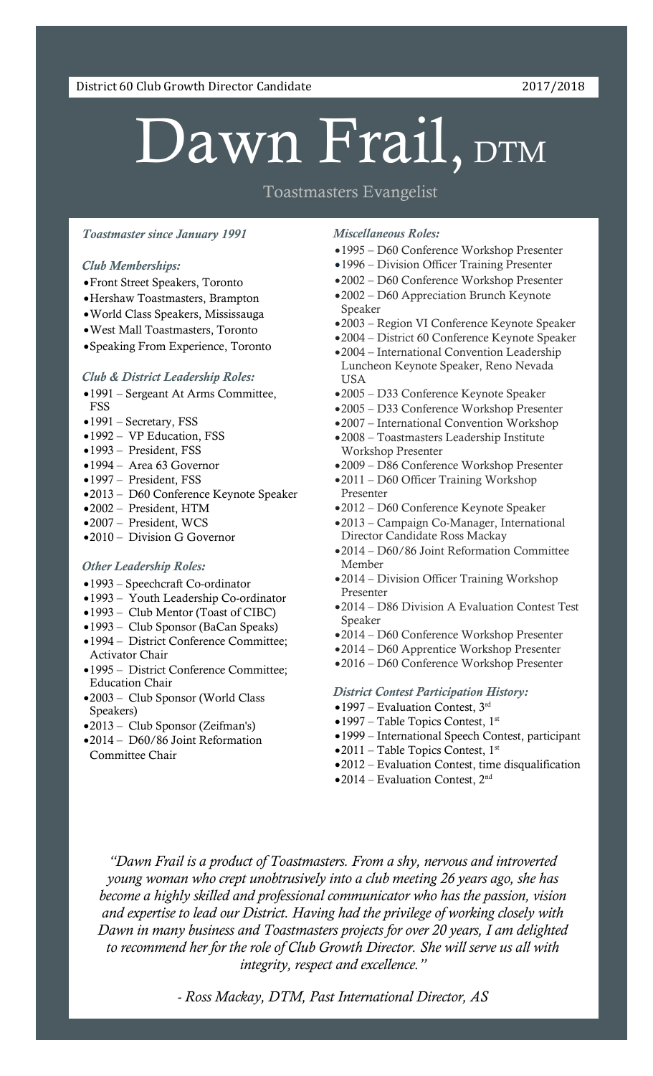District 60 Club Growth Director Candidate 2017/2018

# Dawn Frail, DTM

### Toastmasters Evangelist

#### *Toastmaster since January 1991*

#### *Club Memberships:*

- Front Street Speakers, Toronto
- Hershaw Toastmasters, Brampton
- World Class Speakers, Mississauga
- West Mall Toastmasters, Toronto
- Speaking From Experience, Toronto

#### *Club & District Leadership Roles:*

- 1991 Sergeant At Arms Committee, FSS
- 1991 Secretary, FSS
- 1992 VP Education, FSS
- 1993 President, FSS
- 1994 Area 63 Governor
- 1997 President, FS[S](http://www.dawnfrail.com/wp-content/uploads/2017/02/Dawn-District-Conf-2013-1.png)
- 2013 D60 Conference Keynote Speaker
- 2002 President, HTM
- 2007 President, WCS
- •2010 Division G Governor

#### *Other Leadership Roles:*

- 1993 Speechcraft Co-ordinator
- 1993 Youth Leadership Co-ordinator
- 1993 Club Mentor (Toast of CIBC)
- 1993 Club Sponsor (BaCan Speaks)
- 1994 District Conference Committee; Activator Chair
- 1995 District Conference Committee; Education Chair
- 2003 Club Sponsor (World Class Speakers)
- 2013 Club Sponsor (Zeifman's)
- 2014 D60/86 Joint Reformation Committee Chair

#### *Miscellaneous Roles:*

- 1995 D60 Conference Workshop Presenter
- 1996 Division Officer Training Presenter
- 2002 D60 Conference Workshop Presenter
- 2002 D60 Appreciation Brunch Keynote Speaker
- 2003 Region VI Conference Keynote Speaker
- 2004 District 60 Conference Keynote Speaker
- 2004 International Convention Leadership Luncheon Keynote Speaker, Reno Nevada USA
- 2005 D33 Conference Keynote Speaker
- 2005 D33 Conference Workshop Presenter
- 2007 International Convention Workshop
- 2008 Toastmasters Leadership Institute Workshop Presenter
- 2009 D86 Conference Workshop Presenter
- 2011 D60 Officer Training Workshop Presenter
- 2012 D60 Conference Keynote Speaker
- 2013 Campaign Co-Manager, International Director Candidate Ross Mackay
- 2014 D60/86 Joint Reformation Committee Member
- 2014 Division Officer Training Workshop Presenter
- 2014 D86 Division A Evaluation Contest Test Speaker
- 2014 D60 Conference Workshop Presenter
- 2014 D60 Apprentice Workshop Presenter
- 2016 D60 Conference Workshop Presenter

#### *District Contest Participation History:*

- $\bullet$  1997 Evaluation Contest, 3<sup>rd</sup>
- $\bullet$  1997 Table Topics Contest, 1st
- 1999 International Speech Contest, participant
- $\bullet$  2011 Table Topics Contest, 1st
- 2012 Evaluation Contest, time disqualification
- 2014 Evaluation Contest, 2nd

*"Dawn Frail is a product of Toastmasters. From a shy, nervous and introverted young woman who crept unobtrusively into a club meeting 26 years ago, she has become a highly skilled and professional communicator who has the passion, vision and expertise to lead our District. Having had the privilege of working closely with Dawn in many business and Toastmasters projects for over 20 years, I am delighted to recommend her for the role of Club Growth Director. She will serve us all with integrity, respect and excellence."*

*- Ross Mackay, DTM, Past International Director, AS*